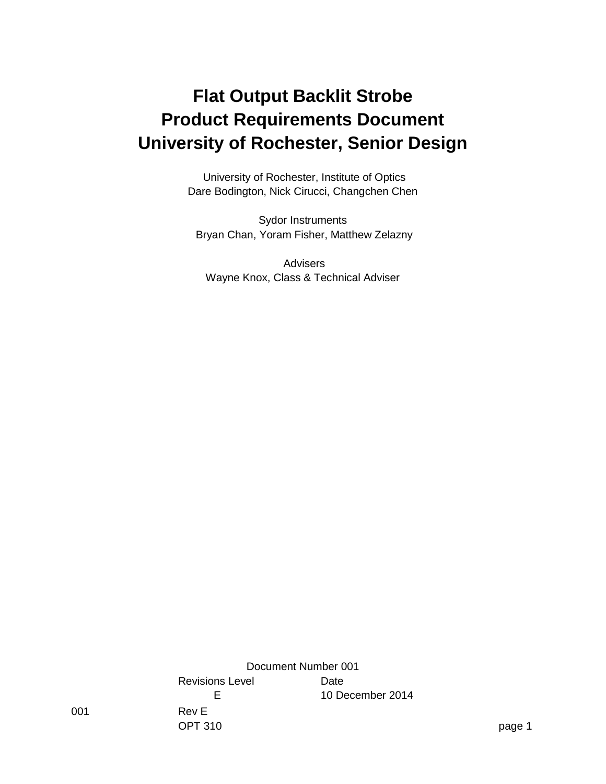### **Flat Output Backlit Strobe Product Requirements Document University of Rochester, Senior Design**

University of Rochester, Institute of Optics Dare Bodington, Nick Cirucci, Changchen Chen

Sydor Instruments Bryan Chan, Yoram Fisher, Matthew Zelazny

Advisers Wayne Knox, Class & Technical Adviser

001 Rev E OPT 310 page 1 Document Number 001 Revisions Level **Date** E 10 December 2014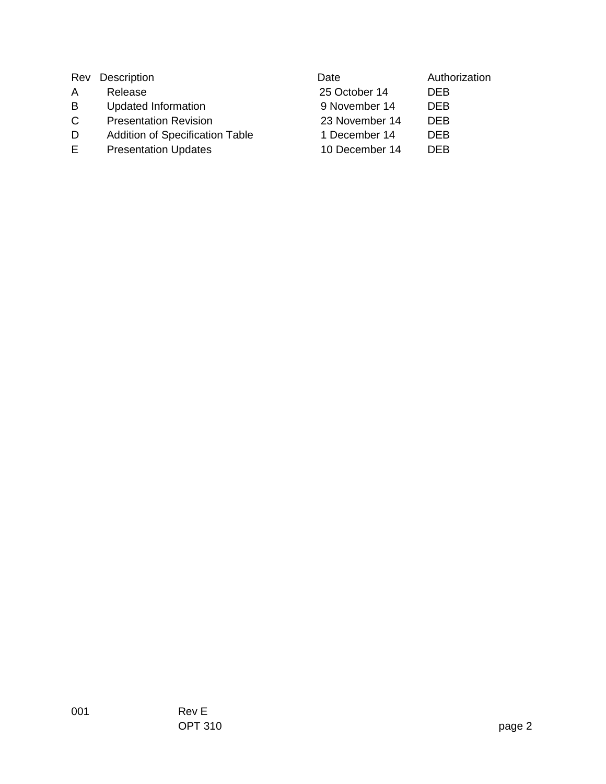| Rev         | Description                            | Date           | Authorization |
|-------------|----------------------------------------|----------------|---------------|
| A           | Release                                | 25 October 14  | <b>DEB</b>    |
| B           | <b>Updated Information</b>             | 9 November 14  | <b>DEB</b>    |
| $\mathbf C$ | <b>Presentation Revision</b>           | 23 November 14 | <b>DFB</b>    |
| D           | <b>Addition of Specification Table</b> | 1 December 14  | <b>DEB</b>    |
| E.          | <b>Presentation Updates</b>            | 10 December 14 | <b>DEB</b>    |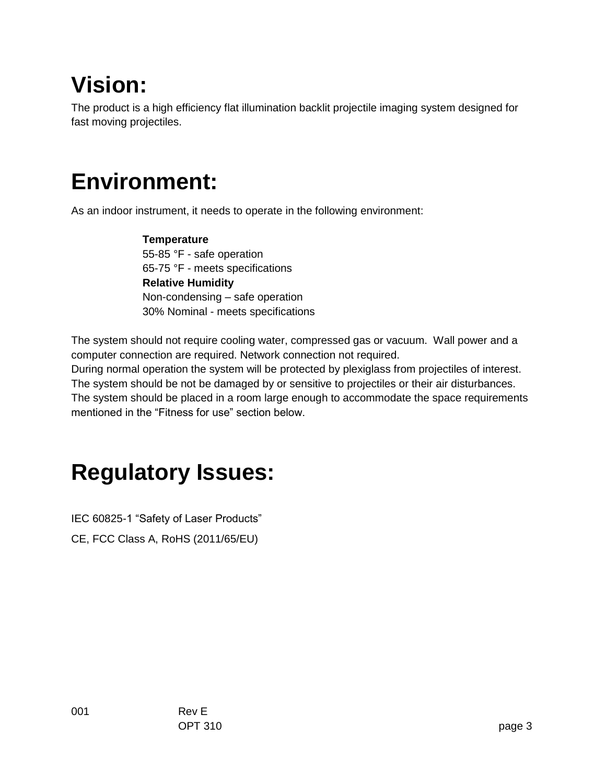## **Vision:**

The product is a high efficiency flat illumination backlit projectile imaging system designed for fast moving projectiles.

# **Environment:**

As an indoor instrument, it needs to operate in the following environment:

 **Temperature** 55-85 °F - safe operation 65-75 °F - meets specifications **Relative Humidity** Non-condensing – safe operation 30% Nominal - meets specifications

The system should not require cooling water, compressed gas or vacuum. Wall power and a computer connection are required. Network connection not required.

During normal operation the system will be protected by plexiglass from projectiles of interest. The system should be not be damaged by or sensitive to projectiles or their air disturbances. The system should be placed in a room large enough to accommodate the space requirements mentioned in the "Fitness for use" section below.

## **Regulatory Issues:**

IEC 60825-1 "Safety of Laser Products" CE, FCC Class A, RoHS (2011/65/EU)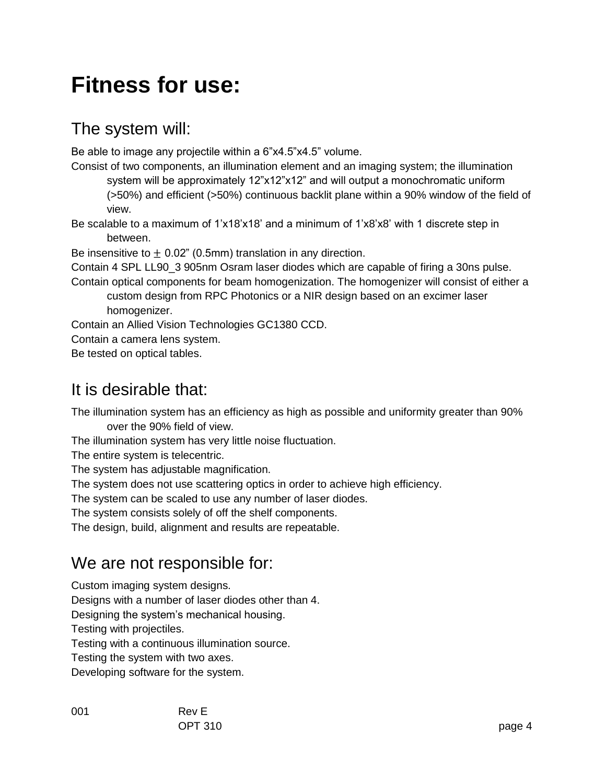## **Fitness for use:**

### The system will:

Be able to image any projectile within a 6"x4.5"x4.5" volume.

Consist of two components, an illumination element and an imaging system; the illumination system will be approximately 12"x12"x12" and will output a monochromatic uniform (>50%) and efficient (>50%) continuous backlit plane within a 90% window of the field of view.

Be scalable to a maximum of 1'x18'x18' and a minimum of 1'x8'x8' with 1 discrete step in between.

Be insensitive to  $\pm$  0.02" (0.5mm) translation in any direction.

Contain 4 SPL LL90\_3 905nm Osram laser diodes which are capable of firing a 30ns pulse.

Contain optical components for beam homogenization. The homogenizer will consist of either a custom design from RPC Photonics or a NIR design based on an excimer laser

homogenizer.

Contain an Allied Vision Technologies GC1380 CCD.

Contain a camera lens system.

Be tested on optical tables.

### It is desirable that:

The illumination system has an efficiency as high as possible and uniformity greater than 90% over the 90% field of view.

The illumination system has very little noise fluctuation.

The entire system is telecentric.

The system has adjustable magnification.

The system does not use scattering optics in order to achieve high efficiency.

The system can be scaled to use any number of laser diodes.

The system consists solely of off the shelf components.

The design, build, alignment and results are repeatable.

#### We are not responsible for:

Custom imaging system designs.

Designs with a number of laser diodes other than 4.

Designing the system's mechanical housing.

Testing with projectiles.

Testing with a continuous illumination source.

Testing the system with two axes.

Developing software for the system.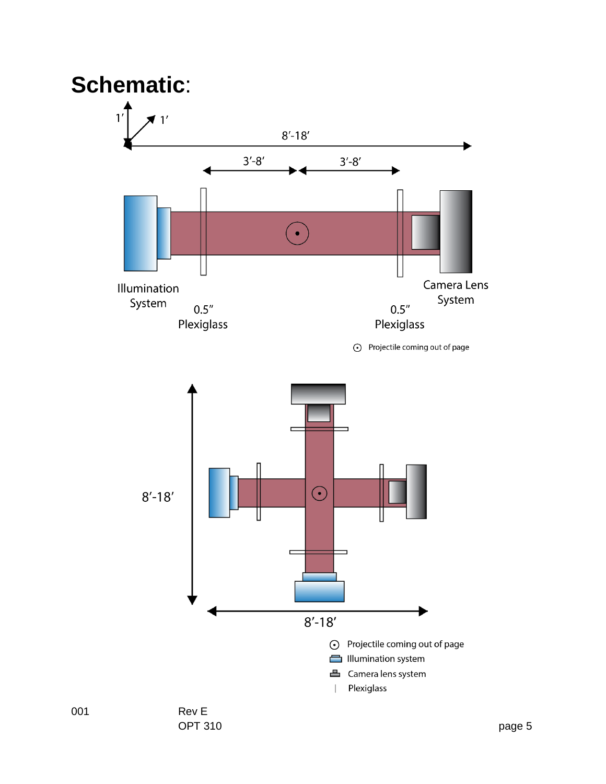